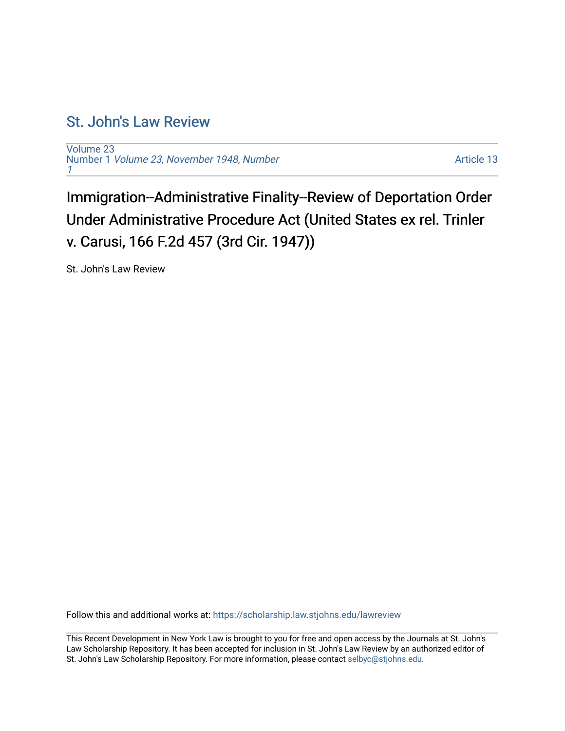## [St. John's Law Review](https://scholarship.law.stjohns.edu/lawreview)

[Volume 23](https://scholarship.law.stjohns.edu/lawreview/vol23) Number 1 [Volume 23, November 1948, Number](https://scholarship.law.stjohns.edu/lawreview/vol23/iss1) [1](https://scholarship.law.stjohns.edu/lawreview/vol23/iss1)

[Article 13](https://scholarship.law.stjohns.edu/lawreview/vol23/iss1/13) 

Immigration--Administrative Finality--Review of Deportation Order Under Administrative Procedure Act (United States ex rel. Trinler v. Carusi, 166 F.2d 457 (3rd Cir. 1947))

St. John's Law Review

Follow this and additional works at: [https://scholarship.law.stjohns.edu/lawreview](https://scholarship.law.stjohns.edu/lawreview?utm_source=scholarship.law.stjohns.edu%2Flawreview%2Fvol23%2Fiss1%2F13&utm_medium=PDF&utm_campaign=PDFCoverPages) 

This Recent Development in New York Law is brought to you for free and open access by the Journals at St. John's Law Scholarship Repository. It has been accepted for inclusion in St. John's Law Review by an authorized editor of St. John's Law Scholarship Repository. For more information, please contact [selbyc@stjohns.edu](mailto:selbyc@stjohns.edu).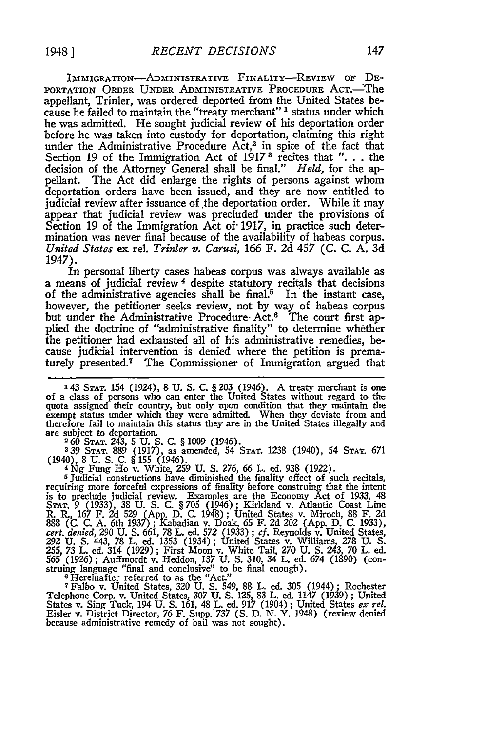IMMIGRATION-ADMINISTRATIVE FINALITY-REVIEW OF DE-PORTATION ORDER UNDER ADMINISTRATIVE PROCEDURE ACT.—The appellant, Trinler, was ordered deported from the United States because he failed to maintain the "treaty merchant" <sup>1</sup> status under which he was admitted. He sought judicial review of his deportation order before he was taken into custody for deportation, claiming this right under the Administrative Procedure Act,<sup>2</sup> in spite of the fact that Section 19 of the Immigration Act of 1917 **3** recites that ". . the decision of the Attorney General shall be final." *Held,* for the appellant. The Act did enlarge the rights of persons against whom deportation orders have been issued, and they are now entitled to judicial review after issuance of the deportation order. While it may appear that judicial review was precluded under the provisions of Section 19 of the Immigration Act of- 1917, in practice such determination was never final because of the availability of habeas corpus. *United States* ex rel. *Trinler v. Carusi,* 166 F. 2d 457 (C. C. A. 3d *1947).*

In personal liberty cases habeas corpus was always available as a means of judicial review 4 despite statutory recitals that decisions of the administrative agencies shall be final.<sup>5</sup> In the instant case, however, the petitioner seeks review, not by way of habeas corpus but under the Administrative Procedure Act.6 The court first applied the doctrine of "administrative finality" to determine whether the petitioner had exhausted all of his administrative remedies, because judicial intervention is denied where the petition is prematurely presented.7 The Commissioner of Immigration argued that

**339 STAT.** 889 (1917), as amended, 54 STAT. 1238 (1940), 54 STAT. 671 (1940), 8 U. S. C. § 155 (1946). <sup>4</sup>**Ng** Fung Ho v. White, **259** U. **S.** 276, 66 L. ed. 938 (1922).

**5** Judicial constructions have diminished the finality effect of such recitals, requiring more forceful expressions of finality before construing that the intent is to preclude judicial review. Examples are the Economy Act of 1933, 48 STAT. 9 (1933), 38 U. S. C. § 705 (1946); Kirkland v. Atlantic Coast Line<br>R. R., 167 F. 2d 529 (App. D. C. 1948); United States v. Miroch, 88 F. 2d<br>888 (C. C. A. 6th 1937); Kabadian v. Doak, 65 F. 2d 202 (App. D. C. 1933) cert. denied, 290 U. S. 661, 78 L. ed. 572 (1933); cf. Reynolds v. United States, 292 U. S. 443, 78 L. ed. 1353 (1934); United States v. Williams, 278 U. S.<br>292 U. S. 443, 78 L. ed. 1353 (1934); United States v. Williams, **565** *(1926)* ; Auffmordt v. Heddon, **137** U. **S.** 310, 34 L. ed. 674 (1890) (construing language "final and conclusive" to be final enough). **<sup>6</sup>**Hereinafter referred to as the "Act."

**7** Falbo v. United States, **320** U. **S.** 549, 88 L. ed. 305 (1944) ; Rochester Telephone Corp. v. United States, 307 U. S. 125, 83 L. ed. 1147 (1939); United States v. Sing Tuck, 194 U. S. 161, 48 L. ed. 917 (1904); United States ex rel.<br>States v. Sing Tuck, 194 U. S. 161, 48 L. ed. 917 (1904); Unite because administrative remedy of bail was not sought)

**<sup>143</sup>** STAT. 154 (1924), 8 **U. S.** C. §203 (1946). **A** treaty merchant is one of a class of persons who can enter the United States without regard to the quota assigned their country, but only upon condition that they maintain the exempt status under which they were admitted. When they deviate from and therefore fail to maintain this status they are in the United States illegally and are subject to deportation. **<sup>2</sup>**60 **STAT.** 243, 5 U. S. C. § 1009 (1946).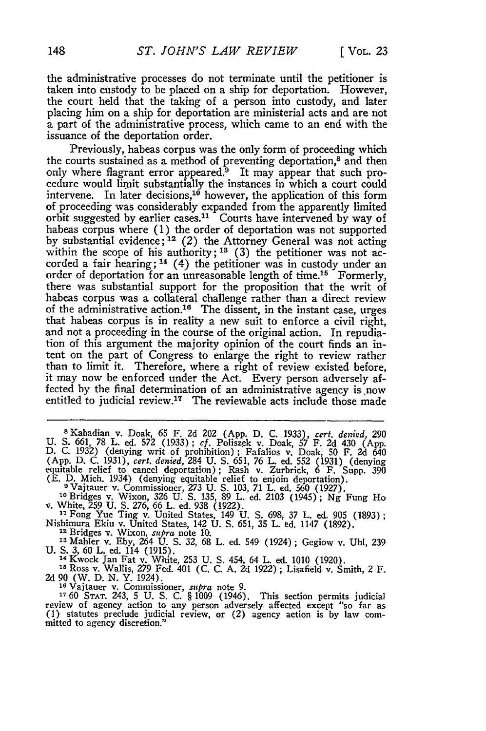the administrative processes do not terminate until the petitioner is taken into custody to be placed on a ship for deportation. However, the court held that the taking of a person into custody, and later placing him on a ship for deportation are ministerial acts and are not a part of the administrative process, which came to an end with the issuance of the deportation order.

Previously, habeas corpus was the only form of proceeding which the courts sustained as a method of preventing deportation,<sup>8</sup> and then only where flagrant error appeared.<sup>9</sup> It may appear that such procedure would liimit substantially the instances in which a court could intervene. In later decisions,<sup>10</sup> however, the application of this form of proceeding was considerably expanded from the apparently limited orbit suggested **by** earlier cases." Courts have intervened **by** way of habeas corpus where (1) the order of deportation was not supported<br>by substantial evidence;<sup>12</sup> (2) the Attorney General was not acting within the scope of his authority; <sup>13</sup> (3) the petitioner was not accorded a fair hearing; **14** (4) the petitioner was in custody under an order of deportation for an unreasonable length of time.<sup>15</sup> Formerly, there was substantial support for the proposition that the writ of habeas corpus was a collateral challenge rather than a direct review of the administrative action.<sup>16</sup> The dissent, in the instant case, urges that habeas corpus is in reality a new suit to enforce a civil right, and not a proceeding in the course of the original action. In repudia- tion of this argument the majority opinion of the court finds an intent on the part of Congress to enlarge the right to review rather than to limit it. Therefore, where a right of review existed before, it may now be enforced under the Act. Every person adversely affected by the final determination of an administrative agency is now entitled to judicial review.<sup>17</sup> The reviewable acts include those made

**<sup>8</sup>**Kabadian v. Doak, 65 F. **2d** 202 (App. **D. C.** 1933), *cert. denied,* **290 U. S. 661, 78** L. ed. **572 (1933);** *cf.* Poliszek v. Doak, **57** F. **2d** 430 **(App. D. C. 1932)** (denying writ of prohibition); Fafalios v. Doak, **50** F. **2d** <sup>640</sup> **(App. D. C. 1931),** *cert. denijed,* 284 **U. S. 651, 76** L. ed. **552 (1931)** (denying equitable relief to cancel deportation) **;** Rash v. Zurbrick, 6 F. Supp. **<sup>390</sup>**

(E. D. Mich. 1934) (denying equitable relief to enjoin deportation).<br>
<sup>9</sup> Vajtauer v. Commissioner, 273 U. S. 103, 71 L. ed. 560 (1927).<br>
<sup>10</sup> Bridges v. Wixon, 326 U. S. 135, 89 L. ed. 2103 (1945); Ng Fung Hc<br>
v. White, 2

Nishimura Ekiu v. United States, 142 **U. S. 651, 35** L. **ed.** 1147 **(1892).** 12 Bridges v. Wixon, *supra* note *fM'.*

**<sup>13</sup>**Mahler v. **Eby,** 264 **U. S. 32, 68** L. ed. 549 (1924) **;** Gegiow v. **Uhl, 239**

**U. S. 3, 60 L. ed. 114 (1915).** 14 C. 114 C. 114 C. 114 C. 114 C. 115 L. ed. 253 *U. S. 454, 64 L. ed.* 1010 (1920).

**<sup>15</sup>**Ross v. Wallis, 279 Fed. 401 **(C. C. A. 2d 1922);** Lisafield v. Smith, 2 F. **2d 90** (W. **D. N.** Y. 1924).

<sup>16</sup> Vaitauer v. Commissioner, *supra* note 9.<br><sup>17</sup> 60 STAT. 243, 5 U. S. C. § 1009 (1946). This section permits judicial<br>review of agency action to any person adversely affected except "so far as<br>(1) statutes preclude jud